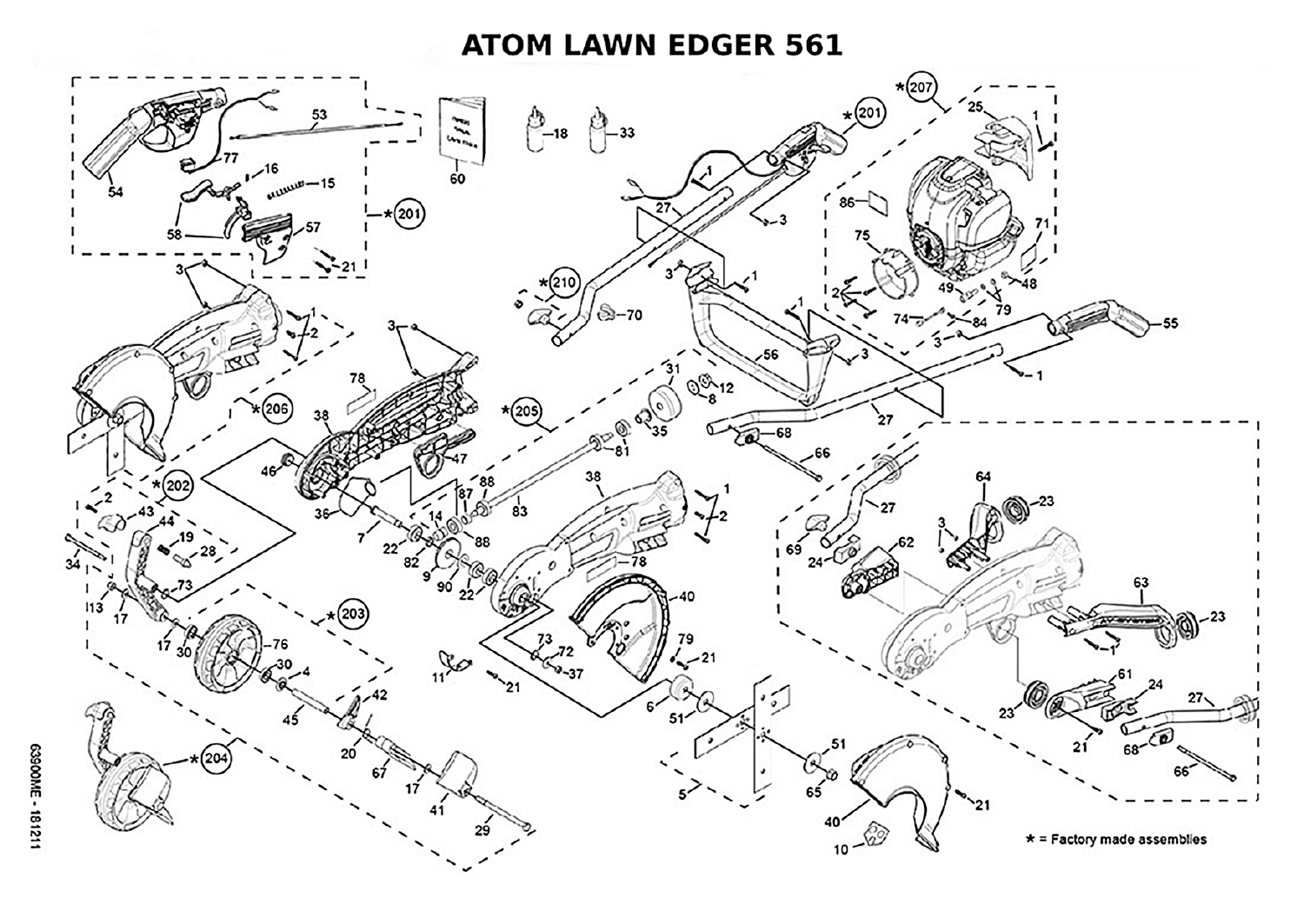## **ATOM LAWN EDGER 561**